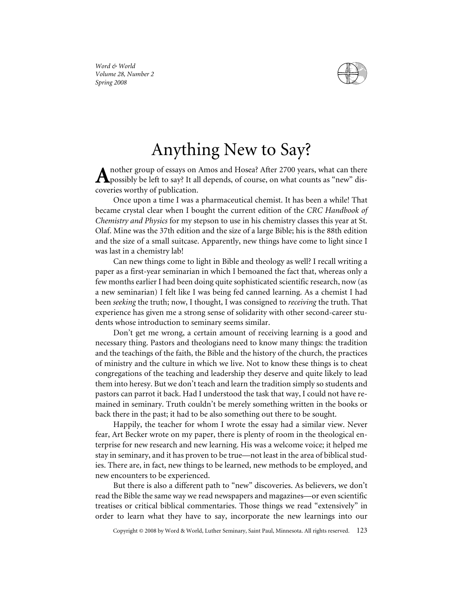

*Word & World Volume 28, Number 2 Spring 2008*

## Anything New to Say?

nother group of essays on Amos and Hosea? After 2700 years, what can there  $\mathbf A$ possibly be left to say? It all depends, of course, on what counts as "new" discoveries worthy of publication.

Once upon a time I was a pharmaceutical chemist. It has been a while! That became crystal clear when I bought the current edition of the *CRC Handbook of Chemistry and Physics* for my stepson to use in his chemistry classes this year at St. Olaf. Mine was the 37th edition and the size of a large Bible; his is the 88th edition and the size of a small suitcase. Apparently, new things have come to light since I was last in a chemistry lab!

Can new things come to light in Bible and theology as well? I recall writing a paper as a first-year seminarian in which I bemoaned the fact that, whereas only a few months earlier I had been doing quite sophisticated scientific research, now (as a new seminarian) I felt like I was being fed canned learning. As a chemist I had been *seeking* the truth; now, I thought, I was consigned to *receiving* the truth. That experience has given me a strong sense of solidarity with other second-career students whose introduction to seminary seems similar.

Don't get me wrong, a certain amount of receiving learning is a good and necessary thing. Pastors and theologians need to know many things: the tradition and the teachings of the faith, the Bible and the history of the church, the practices of ministry and the culture in which we live. Not to know these things is to cheat congregations of the teaching and leadership they deserve and quite likely to lead them into heresy. But we don't teach and learn the tradition simply so students and pastors can parrot it back. Had I understood the task that way, I could not have remained in seminary. Truth couldn't be merely something written in the books or back there in the past; it had to be also something out there to be sought.

Happily, the teacher for whom I wrote the essay had a similar view. Never fear, Art Becker wrote on my paper, there is plenty of room in the theological enterprise for new research and new learning. His was a welcome voice; it helped me stay in seminary, and it has proven to be true—not least in the area of biblical studies. There are, in fact, new things to be learned, new methods to be employed, and new encounters to be experienced.

But there is also a different path to "new" discoveries. As believers, we don't read the Bible the same way we read newspapers and magazines—or even scientific treatises or critical biblical commentaries. Those things we read "extensively" in order to learn what they have to say, incorporate the new learnings into our

Copyright © 2008 by Word & World, Luther Seminary, Saint Paul, Minnesota. All rights reserved. 123